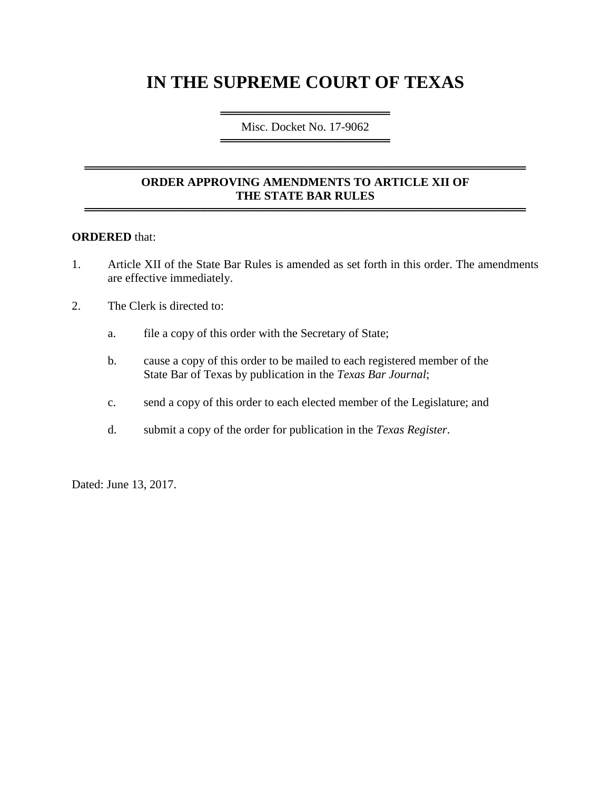# **IN THE SUPREME COURT OF TEXAS**

════════════════════════════════════ Misc. Docket No. 17-9062 ═════════════════════════════════════

# **ORDER APPROVING AMENDMENTS TO ARTICLE XII OF THE STATE BAR RULES**

════════════════════════════════════════════════════

════════════════════════════════════════════════════

#### **ORDERED** that:

- 1. Article XII of the State Bar Rules is amended as set forth in this order. The amendments are effective immediately.
- 2. The Clerk is directed to:
	- a. file a copy of this order with the Secretary of State;
	- b. cause a copy of this order to be mailed to each registered member of the State Bar of Texas by publication in the *Texas Bar Journal*;
	- c. send a copy of this order to each elected member of the Legislature; and
	- d. submit a copy of the order for publication in the *Texas Register*.

Dated: June 13, 2017.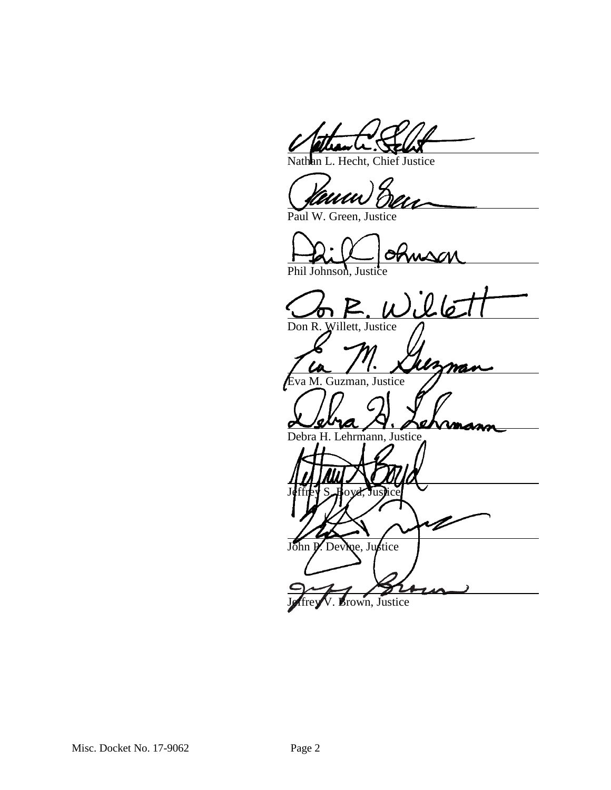Hecht, Chief Justice

Paul W. Green, Justice

Phil Johnson, Justice

<u>uson</u><br>illé Don R. Willett, Justice

mas

va M. Guzman, Justice

Debra H. Lehrmann, Justice

Jeffrey S. Hoyd, Justice John P. Devine, Justice

Brown, Justice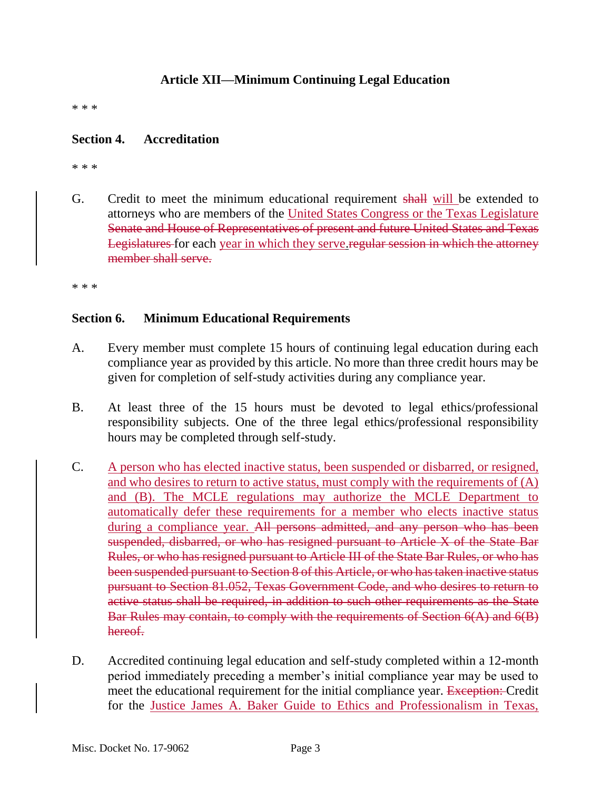# **Article XII—Minimum Continuing Legal Education**

\* \* \*

## **Section 4. Accreditation**

\* \* \*

G. Credit to meet the minimum educational requirement shall will be extended to attorneys who are members of the United States Congress or the Texas Legislature Senate and House of Representatives of present and future United States and Texas Legislatures for each year in which they serve.regular session in which the attorney member shall serve.

\* \* \*

### **Section 6. Minimum Educational Requirements**

- A. Every member must complete 15 hours of continuing legal education during each compliance year as provided by this article. No more than three credit hours may be given for completion of self-study activities during any compliance year.
- B. At least three of the 15 hours must be devoted to legal ethics/professional responsibility subjects. One of the three legal ethics/professional responsibility hours may be completed through self-study.
- C. A person who has elected inactive status, been suspended or disbarred, or resigned, and who desires to return to active status, must comply with the requirements of (A) and (B). The MCLE regulations may authorize the MCLE Department to automatically defer these requirements for a member who elects inactive status during a compliance year. All persons admitted, and any person who has been suspended, disbarred, or who has resigned pursuant to Article X of the State Bar Rules, or who has resigned pursuant to Article III of the State Bar Rules, or who has been suspended pursuant to Section 8 of this Article, or who has taken inactive status pursuant to Section 81.052, Texas Government Code, and who desires to return to active status shall be required, in addition to such other requirements as the State Bar Rules may contain, to comply with the requirements of Section 6(A) and 6(B) hereof.
- D. Accredited continuing legal education and self-study completed within a 12-month period immediately preceding a member's initial compliance year may be used to meet the educational requirement for the initial compliance year. Exception: Credit for the Justice James A. Baker Guide to Ethics and Professionalism in Texas,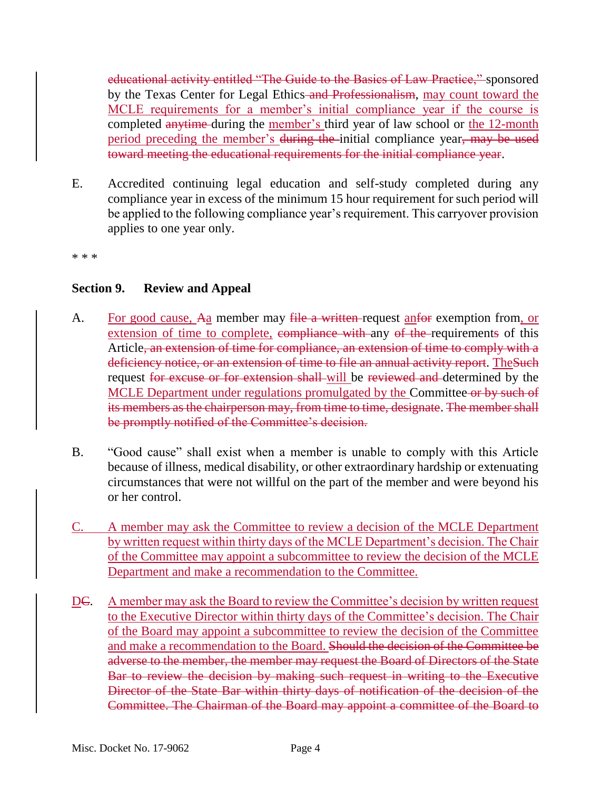educational activity entitled "The Guide to the Basics of Law Practice," sponsored by the Texas Center for Legal Ethics–and Professionalism, may count toward the MCLE requirements for a member's initial compliance year if the course is completed anytime during the member's third year of law school or the 12-month period preceding the member's during the initial compliance year, may be used toward meeting the educational requirements for the initial compliance year.

E. Accredited continuing legal education and self-study completed during any compliance year in excess of the minimum 15 hour requirement for such period will be applied to the following compliance year's requirement. This carryover provision applies to one year only.

\* \* \*

# **Section 9. Review and Appeal**

- A. For good cause, Aa member may file a written-request anform exemption from, or extension of time to complete, compliance with any of the requirements of this Article, an extension of time for compliance, an extension of time to comply with a deficiency notice, or an extension of time to file an annual activity report. The Such request for excuse or for extension shall-will be reviewed and determined by the MCLE Department under regulations promulgated by the Committee or by such of its members as the chairperson may, from time to time, designate. The member shall be promptly notified of the Committee's decision.
- B. "Good cause" shall exist when a member is unable to comply with this Article because of illness, medical disability, or other extraordinary hardship or extenuating circumstances that were not willful on the part of the member and were beyond his or her control.
- C. A member may ask the Committee to review a decision of the MCLE Department by written request within thirty days of the MCLE Department's decision. The Chair of the Committee may appoint a subcommittee to review the decision of the MCLE Department and make a recommendation to the Committee.
- DC. A member may ask the Board to review the Committee's decision by written request to the Executive Director within thirty days of the Committee's decision. The Chair of the Board may appoint a subcommittee to review the decision of the Committee and make a recommendation to the Board. Should the decision of the Committee be adverse to the member, the member may request the Board of Directors of the State Bar to review the decision by making such request in writing to the Executive Director of the State Bar within thirty days of notification of the decision of the Committee. The Chairman of the Board may appoint a committee of the Board to